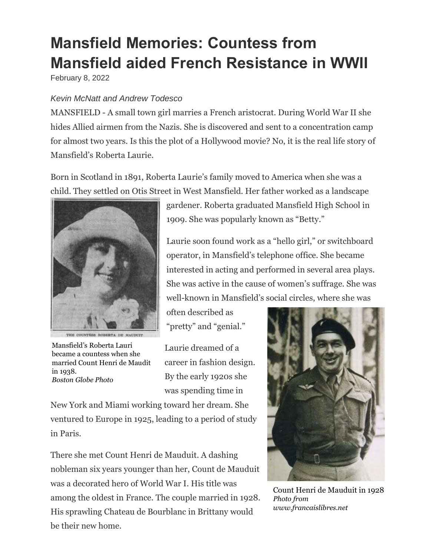## **Mansfield Memories: Countess from Mansfield aided French Resistance in WWII**

February 8, 2022

## *Kevin McNatt and Andrew Todesco*

MANSFIELD - A small town girl marries a French aristocrat. During World War II she hides Allied airmen from the Nazis. She is discovered and sent to a concentration camp for almost two years. Is this the plot of a Hollywood movie? No, it is the real life story of Mansfield's Roberta Laurie.

Born in Scotland in 1891, Roberta Laurie's family moved to America when she was a child. They settled on Otis Street in West Mansfield. Her father worked as a landscape



Mansfield's Roberta Lauri became a countess when she married Count Henri de Maudit in 1938. *Boston Globe Photo*

gardener. Roberta graduated Mansfield High School in 1909. She was popularly known as "Betty."

Laurie soon found work as a "hello girl," or switchboard operator, in Mansfield's telephone office. She became interested in acting and performed in several area plays. She was active in the cause of women's suffrage. She was well-known in Mansfield's social circles, where she was

often described as "pretty" and "genial."

Laurie dreamed of a career in fashion design. By the early 1920s she was spending time in

New York and Miami working toward her dream. She ventured to Europe in 1925, leading to a period of study in Paris.

There she met Count Henri de Mauduit. A dashing nobleman six years younger than her, Count de Mauduit was a decorated hero of World War I. His title was among the oldest in France. The couple married in 1928. His sprawling Chateau de Bourblanc in Brittany would be their new home.



Count Henri de Mauduit in 1928 *Photo from www.francaislibres.net*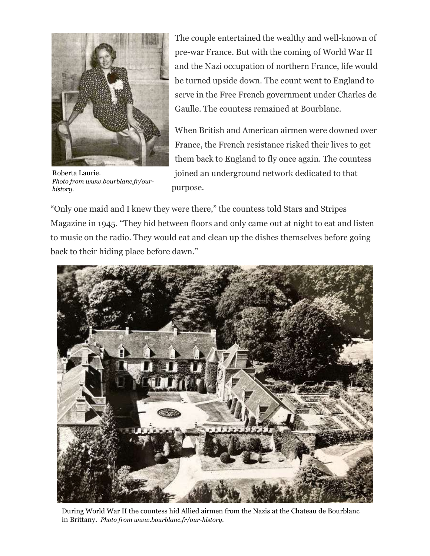

Roberta Laurie. *Photo from www.bourblanc.fr/ourhistory.*

The couple entertained the wealthy and well-known of pre-war France. But with the coming of World War II and the Nazi occupation of northern France, life would be turned upside down. The count went to England to serve in the Free French government under Charles de Gaulle. The countess remained at Bourblanc.

When British and American airmen were downed over France, the French resistance risked their lives to get them back to England to fly once again. The countess joined an underground network dedicated to that purpose.

"Only one maid and I knew they were there," the countess told Stars and Stripes Magazine in 1945. "They hid between floors and only came out at night to eat and listen to music on the radio. They would eat and clean up the dishes themselves before going back to their hiding place before dawn."



During World War II the countess hid Allied airmen from the Nazis at the Chateau de Bourblanc in Brittany. *Photo from www.bourblanc.fr/our-history.*